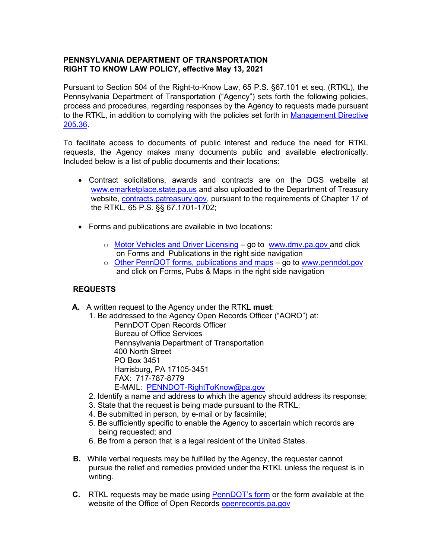#### **PENNSYLVANIA DEPARTMENT OF TRANSPORTATION RIGHT TO KNOW LAW POLICY, effective May 13, 2021**

Pursuant to Section 504 of the Right-to-Know Law, 65 P.S. §67.101 et seq. (RTKL), the Pennsylvania Department of Transportation ("Agency") sets forth the following policies, process and procedures, regarding responses by the Agency to requests made pursuant to the RTKL, in addition to complying with the policies set forth in [Management Directive](http://www.oa.pa.gov/Policies/md/Documents/205_36.pdf)  [205.36.](http://www.oa.pa.gov/Policies/md/Documents/205_36.pdf)

To facilitate access to documents of public interest and reduce the need for RTKL requests, the Agency makes many documents public and available electronically. Included below is a list of public documents and their locations:

- Contract solicitations, awards and contracts are on the DGS website at [www.emarketplace.state.pa.us](http://www.emarketplace.state.pa.us/) and also uploaded to the Department of Treasury website, [contracts.patreasury.gov,](http://contracts.patreasury.org/) pursuant to the requirements of Chapter 17 of the RTKL, 65 P.S. §§ 67.1701-1702;
- Forms and publications are available in two locations:
	- o Motor [Vehicles and Driver Licensing](http://www.dmv.pa.gov/_layouts/pa.penndot.formsandpubs/formsandpubs.aspx?dvs=1#.VfmjsqPD-os) go to [www.dmv.pa.gov](http://www.dmv.pa.gov/) and click on Forms and Publications in the right side navigation
	- o [Other PennDOT forms, publications and maps](http://www.penndot.gov/_layouts/pa.penndot.formsandpubs/formsandpubs.aspx) go to [www.penndot.gov](http://www.penndot.gov/) and click on Forms, Pubs & Maps in the right side navigation

## **REQUESTS**

- **A.** A written request to the Agency under the RTKL **must**:
	- 1. Be addressed to the Agency Open Records Officer ("AORO") at:

PennDOT Open Records Officer Bureau of Office Services Pennsylvania Department of Transportation 400 North Street PO Box 3451 Harrisburg, PA 17105-3451 FAX: 717-787-8779 E-MAIL: [PENNDOT-RightToKnow@pa.gov](mailto:PENNDOT-RightToKnow@pa.gov)

- 2. Identify a name and address to which the agency should address its response;
- 3. State that the request is being made pursuant to the RTKL;
- 4. Be submitted in person, by e-mail or by facsimile;
- 5. Be sufficiently specific to enable the Agency to ascertain which records are being requested; and
- 6. Be from a person that is a legal resident of the United States.
- **B.** While verbal requests may be fulfilled by the Agency, the requester cannot pursue the relief and remedies provided under the RTKL unless the request is in writing.
- **C.** RTKL requests may be made using [PennDOT's form](http://www.dot.state.pa.us/public/PubsForms/Forms/Os-100.pdf) or the form available at the website of the Office of Open Records [openrecords.pa.gov](http://openrecords.state.pa.us/portal/server.pt?open=512&objID=4434&&PageID=465304&level=2&css=L2&mode=2&in_hi_userid=2&cached=true)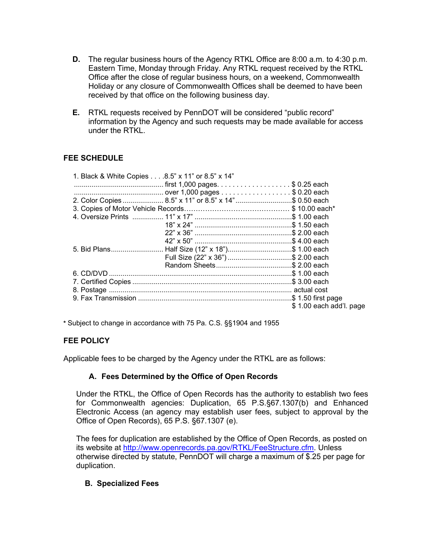- **D.** The regular business hours of the Agency RTKL Office are 8:00 a.m. to 4:30 p.m. Eastern Time, Monday through Friday. Any RTKL request received by the RTKL Office after the close of regular business hours, on a weekend, Commonwealth Holiday or any closure of Commonwealth Offices shall be deemed to have been received by that office on the following business day.
- **E.** RTKL requests received by PennDOT will be considered "public record" information by the Agency and such requests may be made available for access under the RTKL.

# **FEE SCHEDULE**

| 1. Black & White Copies 8.5" x 11" or 8.5" x 14" |                                                                                                                                                |
|--------------------------------------------------|------------------------------------------------------------------------------------------------------------------------------------------------|
|                                                  |                                                                                                                                                |
|                                                  |                                                                                                                                                |
|                                                  |                                                                                                                                                |
|                                                  |                                                                                                                                                |
|                                                  |                                                                                                                                                |
|                                                  |                                                                                                                                                |
|                                                  |                                                                                                                                                |
|                                                  |                                                                                                                                                |
|                                                  |                                                                                                                                                |
|                                                  |                                                                                                                                                |
|                                                  |                                                                                                                                                |
|                                                  |                                                                                                                                                |
|                                                  |                                                                                                                                                |
|                                                  |                                                                                                                                                |
|                                                  |                                                                                                                                                |
|                                                  | \$1.00 each add'l. page                                                                                                                        |
|                                                  | 2. Color Copies  8.5" x 11" or 8.5" x 14" \$ 0.50 each<br>5. Bid Plans Half Size (12" x 18")\$ 1.00 each<br>Full Size (22" x 36") \$ 2.00 each |

**\*** Subject to change in accordance with 75 Pa. C.S. §§1904 and 1955

## **FEE POLICY**

Applicable fees to be charged by the Agency under the RTKL are as follows:

## **A. Fees Determined by the Office of Open Records**

Under the RTKL, the Office of Open Records has the authority to establish two fees for Commonwealth agencies: Duplication, 65 P.S.§67.1307(b) and Enhanced Electronic Access (an agency may establish user fees, subject to approval by the Office of Open Records), 65 P.S. §67.1307 (e).

The fees for duplication are established by the Office of Open Records, as posted on its website at [http://www.openrecords.pa.gov/RTKL/FeeStructure.cfm.](http://www.openrecords.pa.gov/RTKL/FeeStructure.cfm) Unless otherwise directed by statute, PennDOT will charge a maximum of \$.25 per page for duplication.

## **B. Specialized Fees**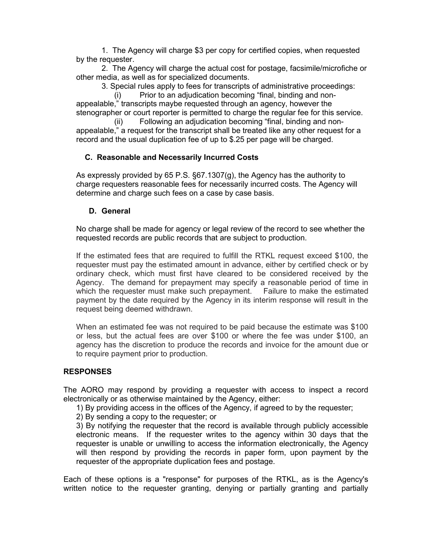1. The Agency will charge \$3 per copy for certified copies, when requested by the requester.

2. The Agency will charge the actual cost for postage, facsimile/microfiche or other media, as well as for specialized documents.

3. Special rules apply to fees for transcripts of administrative proceedings:

(i) Prior to an adjudication becoming "final, binding and nonappealable," transcripts maybe requested through an agency, however the stenographer or court reporter is permitted to charge the regular fee for this service.

(ii) Following an adjudication becoming "final, binding and nonappealable," a request for the transcript shall be treated like any other request for a record and the usual duplication fee of up to \$.25 per page will be charged.

## **C. Reasonable and Necessarily Incurred Costs**

As expressly provided by 65 P.S. §67.1307(g), the Agency has the authority to charge requesters reasonable fees for necessarily incurred costs. The Agency will determine and charge such fees on a case by case basis.

#### **D. General**

No charge shall be made for agency or legal review of the record to see whether the requested records are public records that are subject to production.

If the estimated fees that are required to fulfill the RTKL request exceed \$100, the requester must pay the estimated amount in advance, either by certified check or by ordinary check, which must first have cleared to be considered received by the Agency. The demand for prepayment may specify a reasonable period of time in which the requester must make such prepayment. Failure to make the estimated payment by the date required by the Agency in its interim response will result in the request being deemed withdrawn.

When an estimated fee was not required to be paid because the estimate was \$100 or less, but the actual fees are over \$100 or where the fee was under \$100, an agency has the discretion to produce the records and invoice for the amount due or to require payment prior to production.

## **RESPONSES**

The AORO may respond by providing a requester with access to inspect a record electronically or as otherwise maintained by the Agency, either:

1) By providing access in the offices of the Agency, if agreed to by the requester;

2) By sending a copy to the requester; or

3) By notifying the requester that the record is available through publicly accessible electronic means. If the requester writes to the agency within 30 days that the requester is unable or unwilling to access the information electronically, the Agency will then respond by providing the records in paper form, upon payment by the requester of the appropriate duplication fees and postage.

Each of these options is a "response" for purposes of the RTKL, as is the Agency's written notice to the requester granting, denying or partially granting and partially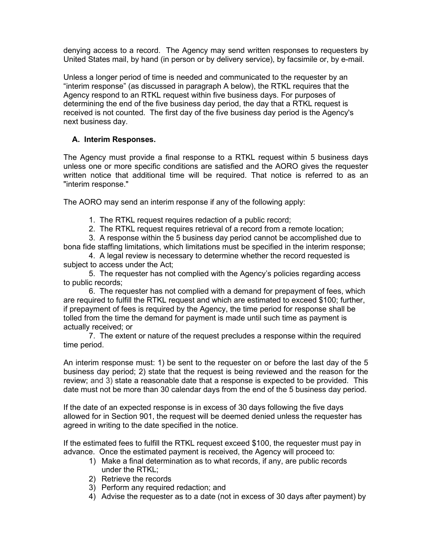denying access to a record. The Agency may send written responses to requesters by United States mail, by hand (in person or by delivery service), by facsimile or, by e-mail.

Unless a longer period of time is needed and communicated to the requester by an "interim response" (as discussed in paragraph A below), the RTKL requires that the Agency respond to an RTKL request within five business days. For purposes of determining the end of the five business day period, the day that a RTKL request is received is not counted. The first day of the five business day period is the Agency's next business day.

## **A. Interim Responses.**

The Agency must provide a final response to a RTKL request within 5 business days unless one or more specific conditions are satisfied and the AORO gives the requester written notice that additional time will be required. That notice is referred to as an "interim response."

The AORO may send an interim response if any of the following apply:

- 1. The RTKL request requires redaction of a public record;
- 2. The RTKL request requires retrieval of a record from a remote location;
- 3. A response within the 5 business day period cannot be accomplished due to bona fide staffing limitations, which limitations must be specified in the interim response;

4. A legal review is necessary to determine whether the record requested is subject to access under the Act;

5. The requester has not complied with the Agency's policies regarding access to public records;

6. The requester has not complied with a demand for prepayment of fees, which are required to fulfill the RTKL request and which are estimated to exceed \$100; further, if prepayment of fees is required by the Agency, the time period for response shall be tolled from the time the demand for payment is made until such time as payment is actually received; or

7. The extent or nature of the request precludes a response within the required time period.

An interim response must: 1) be sent to the requester on or before the last day of the 5 business day period; 2) state that the request is being reviewed and the reason for the review; and 3) state a reasonable date that a response is expected to be provided. This date must not be more than 30 calendar days from the end of the 5 business day period.

If the date of an expected response is in excess of 30 days following the five days allowed for in Section 901, the request will be deemed denied unless the requester has agreed in writing to the date specified in the notice.

If the estimated fees to fulfill the RTKL request exceed \$100, the requester must pay in advance. Once the estimated payment is received, the Agency will proceed to:

- 1) Make a final determination as to what records, if any, are public records under the RTKL;
	- 2) Retrieve the records
	- 3) Perform any required redaction; and
	- 4) Advise the requester as to a date (not in excess of 30 days after payment) by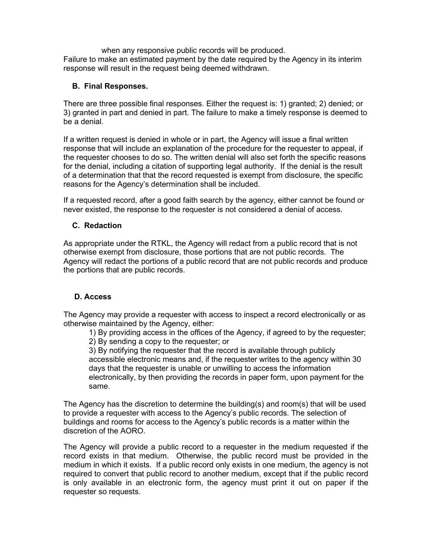when any responsive public records will be produced. Failure to make an estimated payment by the date required by the Agency in its interim response will result in the request being deemed withdrawn.

# **B. Final Responses.**

There are three possible final responses. Either the request is: 1) granted; 2) denied; or 3) granted in part and denied in part. The failure to make a timely response is deemed to be a denial.

If a written request is denied in whole or in part, the Agency will issue a final written response that will include an explanation of the procedure for the requester to appeal, if the requester chooses to do so. The written denial will also set forth the specific reasons for the denial, including a citation of supporting legal authority. If the denial is the result of a determination that that the record requested is exempt from disclosure, the specific reasons for the Agency's determination shall be included.

If a requested record, after a good faith search by the agency, either cannot be found or never existed, the response to the requester is not considered a denial of access.

# **C. Redaction**

As appropriate under the RTKL, the Agency will redact from a public record that is not otherwise exempt from disclosure, those portions that are not public records. The Agency will redact the portions of a public record that are not public records and produce the portions that are public records.

## **D. Access**

The Agency may provide a requester with access to inspect a record electronically or as otherwise maintained by the Agency, either:

1) By providing access in the offices of the Agency, if agreed to by the requester;

2) By sending a copy to the requester; or

3) By notifying the requester that the record is available through publicly accessible electronic means and, if the requester writes to the agency within 30 days that the requester is unable or unwilling to access the information electronically, by then providing the records in paper form, upon payment for the same.

The Agency has the discretion to determine the building(s) and room(s) that will be used to provide a requester with access to the Agency's public records. The selection of buildings and rooms for access to the Agency's public records is a matter within the discretion of the AORO.

The Agency will provide a public record to a requester in the medium requested if the record exists in that medium. Otherwise, the public record must be provided in the medium in which it exists. If a public record only exists in one medium, the agency is not required to convert that public record to another medium, except that if the public record is only available in an electronic form, the agency must print it out on paper if the requester so requests.